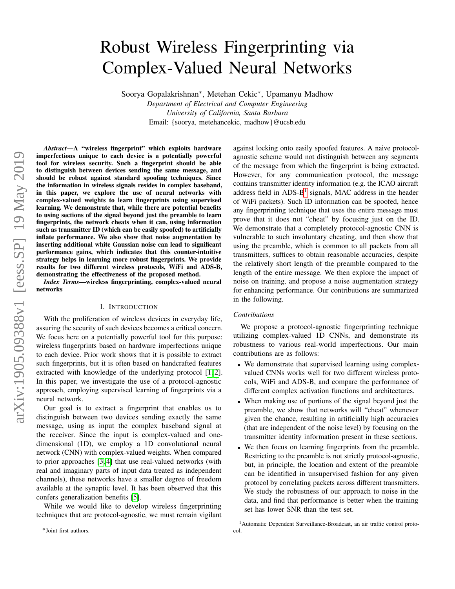# Robust Wireless Fingerprinting via Complex-Valued Neural Networks

Soorya Gopalakrishnan<sup>∗</sup> , Metehan Cekic<sup>∗</sup> , Upamanyu Madhow

*Department of Electrical and Computer Engineering University of California, Santa Barbara* Email: {soorya, metehancekic, madhow}@ucsb.edu

*Abstract*—A "wireless fingerprint" which exploits hardware imperfections unique to each device is a potentially powerful tool for wireless security. Such a fingerprint should be able to distinguish between devices sending the same message, and should be robust against standard spoofing techniques. Since the information in wireless signals resides in complex baseband, in this paper, we explore the use of neural networks with complex-valued weights to learn fingerprints using supervised learning. We demonstrate that, while there are potential benefits to using sections of the signal beyond just the preamble to learn fingerprints, the network cheats when it can, using information such as transmitter ID (which can be easily spoofed) to artificially inflate performance. We also show that noise augmentation by inserting additional white Gaussian noise can lead to significant performance gains, which indicates that this counter-intuitive strategy helps in learning more robust fingerprints. We provide results for two different wireless protocols, WiFi and ADS-B, demonstrating the effectiveness of the proposed method.

*Index Terms*—wireless fingerprinting, complex-valued neural networks

# I. INTRODUCTION

<span id="page-0-1"></span>With the proliferation of wireless devices in everyday life, assuring the security of such devices becomes a critical concern. We focus here on a potentially powerful tool for this purpose: wireless fingerprints based on hardware imperfections unique to each device. Prior work shows that it is possible to extract such fingerprints, but it is often based on handcrafted features extracted with knowledge of the underlying protocol [\[1,](#page-5-0) [2\]](#page-5-1). In this paper, we investigate the use of a protocol-agnostic approach, employing supervised learning of fingerprints via a neural network.

Our goal is to extract a fingerprint that enables us to distinguish between two devices sending exactly the same message, using as input the complex baseband signal at the receiver. Since the input is complex-valued and onedimensional (1D), we employ a 1D convolutional neural network (CNN) with complex-valued weights. When compared to prior approaches [\[3,](#page-5-2) [4\]](#page-5-3) that use real-valued networks (with real and imaginary parts of input data treated as independent channels), these networks have a smaller degree of freedom available at the synaptic level. It has been observed that this confers generalization benefits [\[5\]](#page-5-4).

While we would like to develop wireless fingerprinting techniques that are protocol-agnostic, we must remain vigilant

against locking onto easily spoofed features. A naive protocolagnostic scheme would not distinguish between any segments of the message from which the fingerprint is being extracted. However, for any communication protocol, the message contains transmitter identity information (e.g. the ICAO aircraft address field in ADS-B<sup>[1](#page-0-0)</sup> signals, MAC address in the header of WiFi packets). Such ID information can be spoofed, hence any fingerprinting technique that uses the entire message must prove that it does not "cheat" by focusing just on the ID. We demonstrate that a completely protocol-agnostic CNN is vulnerable to such involuntary cheating, and then show that using the preamble, which is common to all packets from all transmitters, suffices to obtain reasonable accuracies, despite the relatively short length of the preamble compared to the length of the entire message. We then explore the impact of noise on training, and propose a noise augmentation strategy for enhancing performance. Our contributions are summarized in the following.

### *Contributions*

We propose a protocol-agnostic fingerprinting technique utilizing complex-valued 1D CNNs, and demonstrate its robustness to various real-world imperfections. Our main contributions are as follows:

- We demonstrate that supervised learning using complexvalued CNNs works well for two different wireless protocols, WiFi and ADS-B, and compare the performance of different complex activation functions and architectures.
- When making use of portions of the signal beyond just the preamble, we show that networks will "cheat" whenever given the chance, resulting in artificially high accuracies (that are independent of the noise level) by focusing on the transmitter identity information present in these sections.
- We then focus on learning fingerprints from the preamble. Restricting to the preamble is not strictly protocol-agnostic, but, in principle, the location and extent of the preamble can be identified in unsupervised fashion for any given protocol by correlating packets across different transmitters. We study the robustness of our approach to noise in the data, and find that performance is better when the training set has lower SNR than the test set.

∗Joint first authors.

<span id="page-0-0"></span><sup>&</sup>lt;sup>1</sup> Automatic Dependent Surveillance-Broadcast, an air traffic control protocol.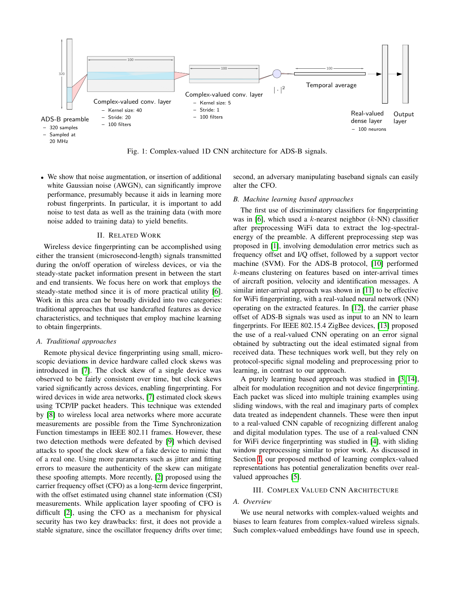<span id="page-1-0"></span>

Fig. 1: Complex-valued 1D CNN architecture for ADS-B signals.

• We show that noise augmentation, or insertion of additional white Gaussian noise (AWGN), can significantly improve performance, presumably because it aids in learning more robust fingerprints. In particular, it is important to add noise to test data as well as the training data (with more noise added to training data) to yield benefits.

## II. RELATED WORK

Wireless device fingerprinting can be accomplished using either the transient (microsecond-length) signals transmitted during the on/off operation of wireless devices, or via the steady-state packet information present in between the start and end transients. We focus here on work that employs the steady-state method since it is of more practical utility [\[6\]](#page-5-5). Work in this area can be broadly divided into two categories: traditional approaches that use handcrafted features as device characteristics, and techniques that employ machine learning to obtain fingerprints.

#### *A. Traditional approaches*

Remote physical device fingerprinting using small, microscopic deviations in device hardware called clock skews was introduced in [\[7\]](#page-5-6). The clock skew of a single device was observed to be fairly consistent over time, but clock skews varied significantly across devices, enabling fingerprinting. For wired devices in wide area networks, [\[7\]](#page-5-6) estimated clock skews using TCP/IP packet headers. This technique was extended by [\[8\]](#page-5-7) to wireless local area networks where more accurate measurements are possible from the Time Synchronization Function timestamps in IEEE 802.11 frames. However, these two detection methods were defeated by [\[9\]](#page-5-8) which devised attacks to spoof the clock skew of a fake device to mimic that of a real one. Using more parameters such as jitter and fitting errors to measure the authenticity of the skew can mitigate these spoofing attempts. More recently, [\[2\]](#page-5-1) proposed using the carrier frequency offset (CFO) as a long-term device fingerprint, with the offset estimated using channel state information (CSI) measurements. While application layer spoofing of CFO is difficult [\[2\]](#page-5-1), using the CFO as a mechanism for physical security has two key drawbacks: first, it does not provide a stable signature, since the oscillator frequency drifts over time;

second, an adversary manipulating baseband signals can easily alter the CFO.

## *B. Machine learning based approaches*

The first use of discriminatory classifiers for fingerprinting was in [\[6\]](#page-5-5), which used a  $k$ -nearest neighbor ( $k$ -NN) classifier after preprocessing WiFi data to extract the log-spectralenergy of the preamble. A different preprocessing step was proposed in [\[1\]](#page-5-0), involving demodulation error metrics such as frequency offset and I/Q offset, followed by a support vector machine (SVM). For the ADS-B protocol, [\[10\]](#page-5-9) performed k-means clustering on features based on inter-arrival times of aircraft position, velocity and identification messages. A similar inter-arrival approach was shown in [\[11\]](#page-5-10) to be effective for WiFi fingerprinting, with a real-valued neural network (NN) operating on the extracted features. In [\[12\]](#page-5-11), the carrier phase offset of ADS-B signals was used as input to an NN to learn fingerprints. For IEEE 802.15.4 ZigBee devices, [\[13\]](#page-5-12) proposed the use of a real-valued CNN operating on an error signal obtained by subtracting out the ideal estimated signal from received data. These techniques work well, but they rely on protocol-specific signal modeling and preprocessing prior to learning, in contrast to our approach.

A purely learning based approach was studied in [\[3,](#page-5-2) [14\]](#page-5-13), albeit for modulation recognition and not device fingerprinting. Each packet was sliced into multiple training examples using sliding windows, with the real and imaginary parts of complex data treated as independent channels. These were then input to a real-valued CNN capable of recognizing different analog and digital modulation types. The use of a real-valued CNN for WiFi device fingerprinting was studied in [\[4\]](#page-5-3), with sliding window preprocessing similar to prior work. As discussed in Section [I,](#page-0-1) our proposed method of learning complex-valued representations has potential generalization benefits over realvalued approaches [\[5\]](#page-5-4).

# III. COMPLEX VALUED CNN ARCHITECTURE

# *A. Overview*

We use neural networks with complex-valued weights and biases to learn features from complex-valued wireless signals. Such complex-valued embeddings have found use in speech,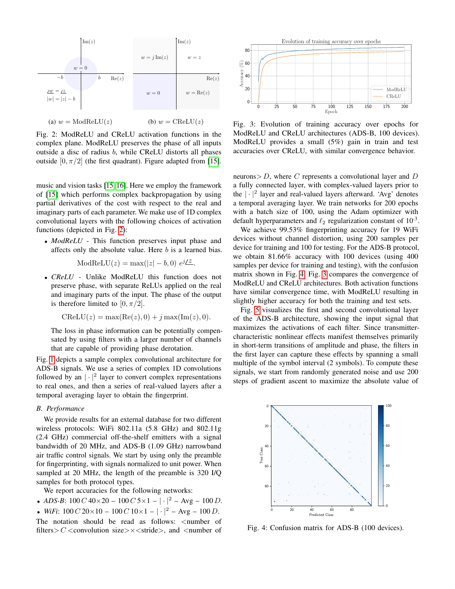<span id="page-2-0"></span>

Fig. 2: ModReLU and CReLU activation functions in the complex plane. ModReLU preserves the phase of all inputs outside a disc of radius b, while CReLU distorts all phases outside  $[0, \pi/2]$  (the first quadrant). Figure adapted from [\[15\]](#page-5-14).

music and vision tasks [\[15,](#page-5-14) [16\]](#page-5-15). Here we employ the framework of [\[15\]](#page-5-14) which performs complex backpropagation by using partial derivatives of the cost with respect to the real and imaginary parts of each parameter. We make use of 1D complex convolutional layers with the following choices of activation functions (depicted in Fig. [2\)](#page-2-0):

• *ModReLU* - This function preserves input phase and affects only the absolute value. Here  $b$  is a learned bias.

$$
ModReLU(z) = max(|z| - b, 0) e^{j/2}.
$$

• *CReLU* - Unlike ModReLU this function does not preserve phase, with separate ReLUs applied on the real and imaginary parts of the input. The phase of the output is therefore limited to  $[0, \pi/2]$ .

$$
CReLU(z) = max(Re(z), 0) + j max(Im(z), 0).
$$

The loss in phase information can be potentially compensated by using filters with a larger number of channels that are capable of providing phase derotation.

Fig. [1](#page-1-0) depicts a sample complex convolutional architecture for ADS-B signals. We use a series of complex 1D convolutions followed by an  $|\cdot|^2$  layer to convert complex representations to real ones, and then a series of real-valued layers after a temporal averaging layer to obtain the fingerprint.

# <span id="page-2-3"></span>*B. Performance*

We provide results for an external database for two different wireless protocols: WiFi 802.11a (5.8 GHz) and 802.11g (2.4 GHz) commercial off-the-shelf emitters with a signal bandwidth of 20 MHz, and ADS-B (1.09 GHz) narrowband air traffic control signals. We start by using only the preamble for fingerprinting, with signals normalized to unit power. When sampled at 20 MHz, the length of the preamble is 320 I/Q samples for both protocol types.

We report accuracies for the following networks:

• *ADS-B*:  $100 C 40 \times 20 - 100 C 5 \times 1 - | \cdot |^2 - \text{Avg} - 100 D$ .

• *WiFi*:  $100 C 20 \times 10 - 100 C 10 \times 1 - | \cdot |^2 - \text{Avg} - 100 D$ .

The notation should be read as follows: <number of filters  $>C$  < convolution size  $\times$  < stride >, and < number of

<span id="page-2-2"></span>

Fig. 3: Evolution of training accuracy over epochs for ModReLU and CReLU architectures (ADS-B, 100 devices). ModReLU provides a small (5%) gain in train and test accuracies over CReLU, with similar convergence behavior.

neurons  $> D$ , where C represents a convolutional layer and D a fully connected layer, with complex-valued layers prior to the  $|\cdot|^2$  layer and real-valued layers afterward. 'Avg' denotes a temporal averaging layer. We train networks for 200 epochs with a batch size of 100, using the Adam optimizer with default hyperparameters and  $\ell_2$  regularization constant of  $10^{-3}$ .

We achieve 99.53% fingerprinting accuracy for 19 WiFi devices without channel distortion, using 200 samples per device for training and 100 for testing. For the ADS-B protocol, we obtain 81.66% accuracy with 100 devices (using 400 samples per device for training and testing), with the confusion matrix shown in Fig. [4.](#page-2-1) Fig. [3](#page-2-2) compares the convergence of ModReLU and CReLU architectures. Both activation functions have similar convergence time, with ModReLU resulting in slightly higher accuracy for both the training and test sets.

Fig. [5](#page-3-0) visualizes the first and second convolutional layer of the ADS-B architecture, showing the input signal that maximizes the activations of each filter. Since transmittercharacteristic nonlinear effects manifest themselves primarily in short-term transitions of amplitude and phase, the filters in the first layer can capture these effects by spanning a small multiple of the symbol interval (2 symbols). To compute these signals, we start from randomly generated noise and use 200 steps of gradient ascent to maximize the absolute value of

<span id="page-2-1"></span>

Fig. 4: Confusion matrix for ADS-B (100 devices).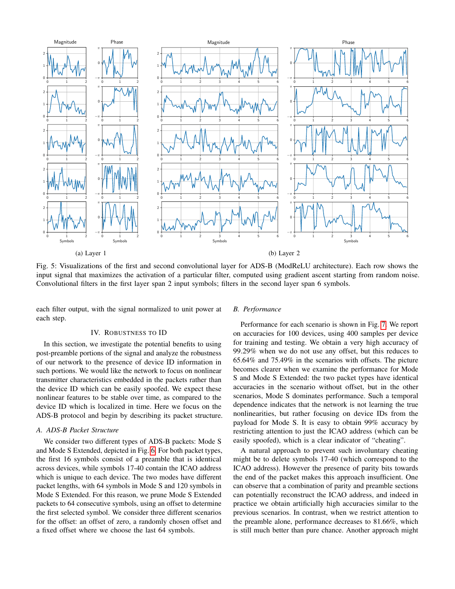<span id="page-3-0"></span>

Fig. 5: Visualizations of the first and second convolutional layer for ADS-B (ModReLU architecture). Each row shows the input signal that maximizes the activation of a particular filter, computed using gradient ascent starting from random noise. Convolutional filters in the first layer span 2 input symbols; filters in the second layer span 6 symbols.

each filter output, with the signal normalized to unit power at each step.

## IV. ROBUSTNESS TO ID

In this section, we investigate the potential benefits to using post-preamble portions of the signal and analyze the robustness of our network to the presence of device ID information in such portions. We would like the network to focus on nonlinear transmitter characteristics embedded in the packets rather than the device ID which can be easily spoofed. We expect these nonlinear features to be stable over time, as compared to the device ID which is localized in time. Here we focus on the ADS-B protocol and begin by describing its packet structure.

# *A. ADS-B Packet Structure*

We consider two different types of ADS-B packets: Mode S and Mode S Extended, depicted in Fig. [6.](#page-4-0) For both packet types, the first 16 symbols consist of a preamble that is identical across devices, while symbols 17-40 contain the ICAO address which is unique to each device. The two modes have different packet lengths, with 64 symbols in Mode S and 120 symbols in Mode S Extended. For this reason, we prune Mode S Extended packets to 64 consecutive symbols, using an offset to determine the first selected symbol. We consider three different scenarios for the offset: an offset of zero, a randomly chosen offset and a fixed offset where we choose the last 64 symbols.

#### *B. Performance*

Performance for each scenario is shown in Fig. [7.](#page-4-1) We report on accuracies for 100 devices, using 400 samples per device for training and testing. We obtain a very high accuracy of 99.29% when we do not use any offset, but this reduces to 65.64% and 75.49% in the scenarios with offsets. The picture becomes clearer when we examine the performance for Mode S and Mode S Extended: the two packet types have identical accuracies in the scenario without offset, but in the other scenarios, Mode S dominates performance. Such a temporal dependence indicates that the network is not learning the true nonlinearities, but rather focusing on device IDs from the payload for Mode S. It is easy to obtain 99% accuracy by restricting attention to just the ICAO address (which can be easily spoofed), which is a clear indicator of "cheating".

A natural approach to prevent such involuntary cheating might be to delete symbols 17-40 (which correspond to the ICAO address). However the presence of parity bits towards the end of the packet makes this approach insufficient. One can observe that a combination of parity and preamble sections can potentially reconstruct the ICAO address, and indeed in practice we obtain artificially high accuracies similar to the previous scenarios. In contrast, when we restrict attention to the preamble alone, performance decreases to 81.66%, which is still much better than pure chance. Another approach might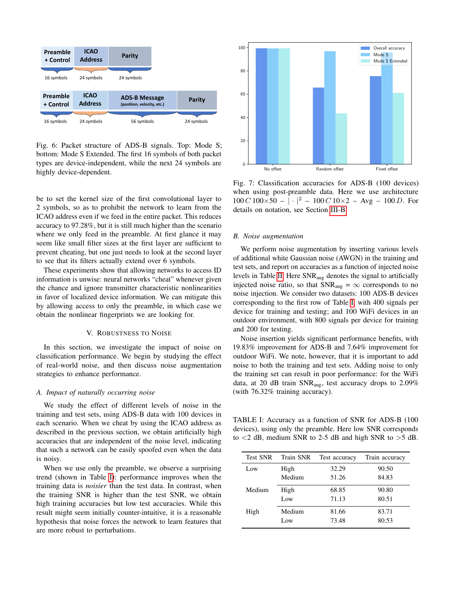<span id="page-4-0"></span>

Fig. 6: Packet structure of ADS-B signals. Top: Mode S; bottom: Mode S Extended. The first 16 symbols of both packet types are device-independent, while the next 24 symbols are highly device-dependent.

be to set the kernel size of the first convolutional layer to 2 symbols, so as to prohibit the network to learn from the ICAO address even if we feed in the entire packet. This reduces accuracy to 97.28%, but it is still much higher than the scenario where we only feed in the preamble. At first glance it may seem like small filter sizes at the first layer are sufficient to prevent cheating, but one just needs to look at the second layer to see that its filters actually extend over 6 symbols.

These experiments show that allowing networks to access ID information is unwise: neural networks "cheat" whenever given the chance and ignore transmitter characteristic nonlinearities in favor of localized device information. We can mitigate this by allowing access to only the preamble, in which case we obtain the nonlinear fingerprints we are looking for.

### V. ROBUSTNESS TO NOISE

In this section, we investigate the impact of noise on classification performance. We begin by studying the effect of real-world noise, and then discuss noise augmentation strategies to enhance performance.

# *A. Impact of naturally occurring noise*

We study the effect of different levels of noise in the training and test sets, using ADS-B data with 100 devices in each scenario. When we cheat by using the ICAO address as described in the previous section, we obtain artificially high accuracies that are independent of the noise level, indicating that such a network can be easily spoofed even when the data is noisy.

When we use only the preamble, we observe a surprising trend (shown in Table [I\)](#page-4-2): performance improves when the training data is *noisier* than the test data. In contrast, when the training SNR is higher than the test SNR, we obtain high training accuracies but low test accuracies. While this result might seem initially counter-intuitive, it is a reasonable hypothesis that noise forces the network to learn features that are more robust to perturbations.

<span id="page-4-1"></span>

Fig. 7: Classification accuracies for ADS-B (100 devices) when using post-preamble data. Here we use architecture  $100 C 100 \times 50 - | \cdot |^2 - 100 C 10 \times 2 - \text{Avg} - 100 D$ . For details on notation, see Section [III-B.](#page-2-3)

# *B. Noise augmentation*

We perform noise augmentation by inserting various levels of additional white Gaussian noise (AWGN) in the training and test sets, and report on accuracies as a function of injected noise levels in Table [II.](#page-5-16) Here SNRaug denotes the signal to artificially injected noise ratio, so that  $SNR_{aug} = \infty$  corresponds to no noise injection. We consider two datasets: 100 ADS-B devices corresponding to the first row of Table [I,](#page-4-2) with 400 signals per device for training and testing; and 100 WiFi devices in an outdoor environment, with 800 signals per device for training and 200 for testing.

Noise insertion yields significant performance benefits, with 19.83% improvement for ADS-B and 7.64% improvement for outdoor WiFi. We note, however, that it is important to add noise to both the training and test sets. Adding noise to only the training set can result in poor performance: for the WiFi data, at 20 dB train  $SNR_{aug}$ , test accuracy drops to 2.09% (with 76.32% training accuracy).

<span id="page-4-2"></span>TABLE I: Accuracy as a function of SNR for ADS-B (100 devices), using only the preamble. Here low SNR corresponds to  $\lt 2$  dB, medium SNR to 2-5 dB and high SNR to  $>5$  dB.

| <b>Test SNR</b> | Train SNR | Test accuracy | Train accuracy |
|-----------------|-----------|---------------|----------------|
| Low             | High      | 32.29         | 90.50          |
|                 | Medium    | 51.26         | 84.83          |
| Medium          | High      | 68.85         | 90.80          |
|                 | Low       | 71.13         | 80.51          |
| High            | Medium    | 81.66         | 83.71          |
|                 | Low       | 73.48         | 80.53          |